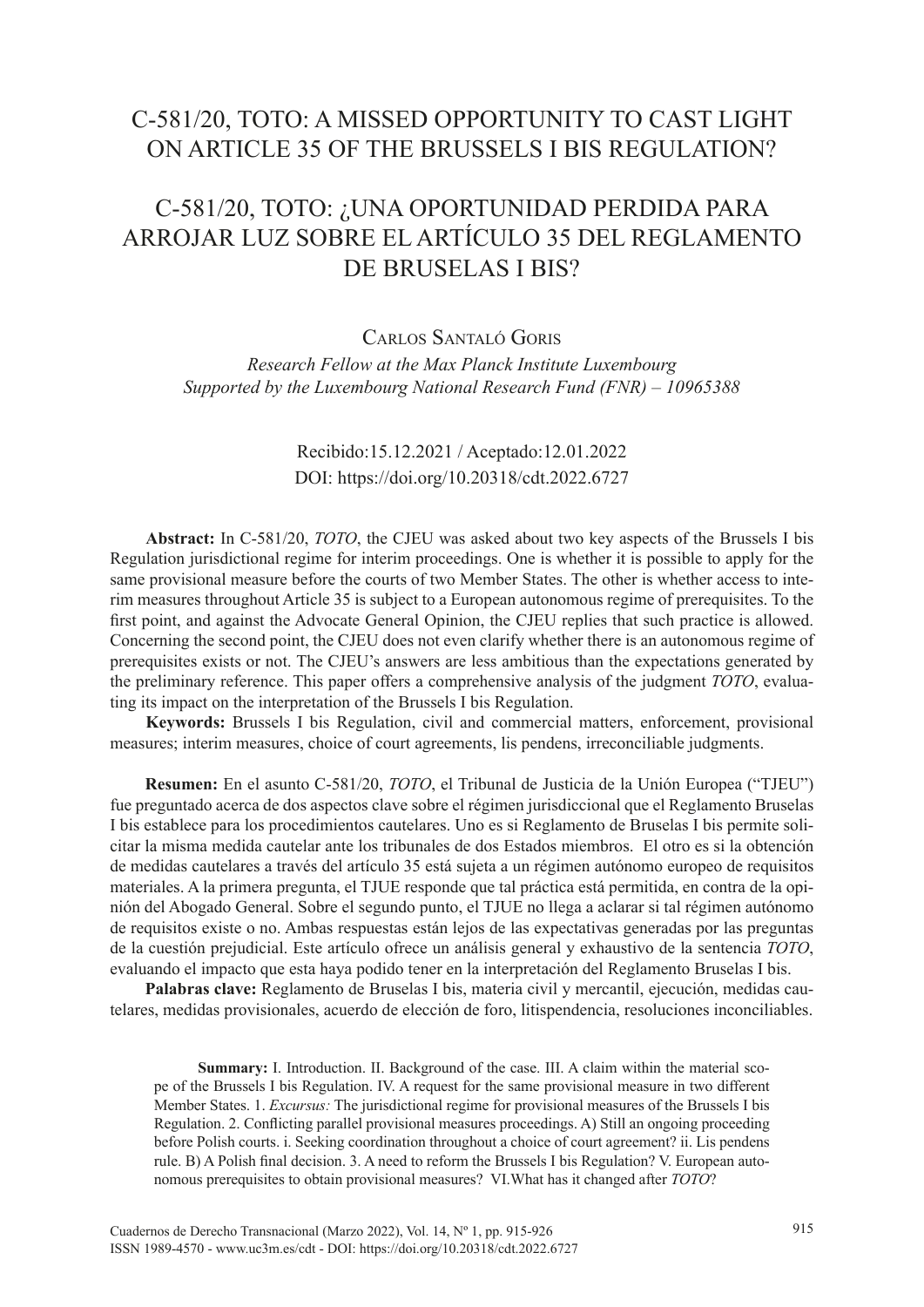# C-581/20, TOTO: A MISSED OPPORTUNITY TO CAST LIGHT ON ARTICLE 35 OF THE BRUSSELS I BIS REGULATION?

# C-581/20, TOTO: ¿UNA OPORTUNIDAD PERDIDA PARA ARROJAR LUZ SOBRE EL ARTÍCULO 35 DEL REGLAMENTO DE BRUSELAS I BIS?

Carlos Santaló Goris

*Research Fellow at the Max Planck Institute Luxembourg Supported by the Luxembourg National Research Fund (FNR) – 10965388*

# Recibido:15.12.2021 / Aceptado:12.01.2022 DOI: <https://doi.org/10.20318/cdt.2022.6727>

**Abstract:** In C-581/20, *TOTO*, the CJEU was asked about two key aspects of the Brussels I bis Regulation jurisdictional regime for interim proceedings. One is whether it is possible to apply for the same provisional measure before the courts of two Member States. The other is whether access to interim measures throughout Article 35 is subject to a European autonomous regime of prerequisites. To the first point, and against the Advocate General Opinion, the CJEU replies that such practice is allowed. Concerning the second point, the CJEU does not even clarify whether there is an autonomous regime of prerequisites exists or not. The CJEU's answers are less ambitious than the expectations generated by the preliminary reference. This paper offers a comprehensive analysis of the judgment *TOTO*, evaluating its impact on the interpretation of the Brussels I bis Regulation.

**Keywords:** Brussels I bis Regulation, civil and commercial matters, enforcement, provisional measures; interim measures, choice of court agreements, lis pendens, irreconciliable judgments.

**Resumen:** En el asunto C-581/20, *TOTO*, el Tribunal de Justicia de la Unión Europea ("TJEU") fue preguntado acerca de dos aspectos clave sobre el régimen jurisdiccional que el Reglamento Bruselas I bis establece para los procedimientos cautelares. Uno es si Reglamento de Bruselas I bis permite solicitar la misma medida cautelar ante los tribunales de dos Estados miembros. El otro es si la obtención de medidas cautelares a través del artículo 35 está sujeta a un régimen autónomo europeo de requisitos materiales. A la primera pregunta, el TJUE responde que tal práctica está permitida, en contra de la opinión del Abogado General. Sobre el segundo punto, el TJUE no llega a aclarar si tal régimen autónomo de requisitos existe o no. Ambas respuestas están lejos de las expectativas generadas por las preguntas de la cuestión prejudicial. Este artículo ofrece un análisis general y exhaustivo de la sentencia *TOTO*, evaluando el impacto que esta haya podido tener en la interpretación del Reglamento Bruselas I bis.

**Palabras clave:** Reglamento de Bruselas I bis, materia civil y mercantil, ejecución, medidas cautelares, medidas provisionales, acuerdo de elección de foro, litispendencia, resoluciones inconciliables.

**Summary:** I. Introduction. II. Background of the case. III. A claim within the material scope of the Brussels I bis Regulation. IV. A request for the same provisional measure in two different Member States. 1. *Excursus:* The jurisdictional regime for provisional measures of the Brussels I bis Regulation. 2. Conflicting parallel provisional measures proceedings. A) Still an ongoing proceeding before Polish courts. i. Seeking coordination throughout a choice of court agreement? ii. Lis pendens rule. B) A Polish final decision. 3. A need to reform the Brussels I bis Regulation? V. European autonomous prerequisites to obtain provisional measures? VI.What has it changed after *TOTO*?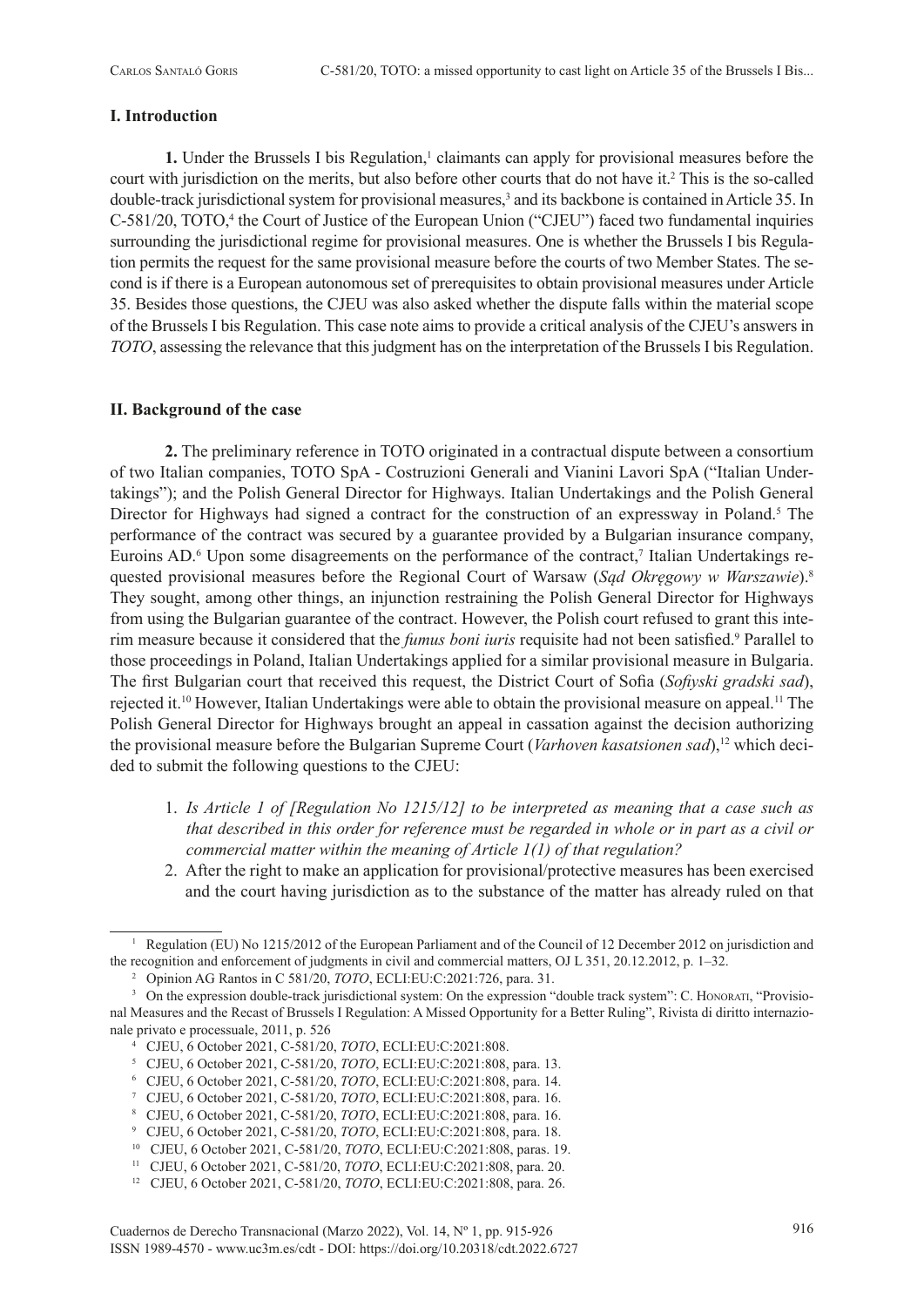# **I. Introduction**

**1.** Under the Brussels I bis Regulation,<sup>1</sup> claimants can apply for provisional measures before the court with jurisdiction on the merits, but also before other courts that do not have it.<sup>2</sup> This is the so-called double-track jurisdictional system for provisional measures,<sup>3</sup> and its backbone is contained in Article 35. In C-581/20, TOTO,<sup>4</sup> the Court of Justice of the European Union ("CJEU") faced two fundamental inquiries surrounding the jurisdictional regime for provisional measures. One is whether the Brussels I bis Regulation permits the request for the same provisional measure before the courts of two Member States. The second is if there is a European autonomous set of prerequisites to obtain provisional measures under Article 35. Besides those questions, the CJEU was also asked whether the dispute falls within the material scope of the Brussels I bis Regulation. This case note aims to provide a critical analysis of the CJEU's answers in *TOTO*, assessing the relevance that this judgment has on the interpretation of the Brussels I bis Regulation.

# **II. Background of the case**

**2.** The preliminary reference in TOTO originated in a contractual dispute between a consortium of two Italian companies, TOTO SpA - Costruzioni Generali and Vianini Lavori SpA ("Italian Undertakings"); and the Polish General Director for Highways. Italian Undertakings and the Polish General Director for Highways had signed a contract for the construction of an expressway in Poland.<sup>5</sup> The performance of the contract was secured by a guarantee provided by a Bulgarian insurance company, Euroins AD.<sup>6</sup> Upon some disagreements on the performance of the contract,<sup>7</sup> Italian Undertakings requested provisional measures before the Regional Court of Warsaw (*Sąd Okręgowy w Warszawie*).8 They sought, among other things, an injunction restraining the Polish General Director for Highways from using the Bulgarian guarantee of the contract. However, the Polish court refused to grant this interim measure because it considered that the *fumus boni iuris* requisite had not been satisfied.<sup>9</sup> Parallel to those proceedings in Poland, Italian Undertakings applied for a similar provisional measure in Bulgaria. The first Bulgarian court that received this request, the District Court of Sofia (*Sofiyski gradski sad*), rejected it.10 However, Italian Undertakings were able to obtain the provisional measure on appeal.11 The Polish General Director for Highways brought an appeal in cassation against the decision authorizing the provisional measure before the Bulgarian Supreme Court (*Varhoven kasatsionen sad*),<sup>12</sup> which decided to submit the following questions to the CJEU:

- 1. *Is Article 1 of [Regulation No 1215/12] to be interpreted as meaning that a case such as that described in this order for reference must be regarded in whole or in part as a civil or commercial matter within the meaning of Article 1(1) of that regulation?*
- 2. After the right to make an application for provisional/protective measures has been exercised and the court having jurisdiction as to the substance of the matter has already ruled on that

<sup>&</sup>lt;sup>1</sup> Regulation (EU) No 1215/2012 of the European Parliament and of the Council of 12 December 2012 on jurisdiction and the recognition and enforcement of judgments in civil and commercial matters, OJ L 351, 20.12.2012, p. 1–32.

<sup>2</sup> Opinion AG Rantos in C 581/20, *TOTO*, ECLI:EU:C:2021:726, para. 31.

<sup>&</sup>lt;sup>3</sup> On the expression double-track jurisdictional system: On the expression "double track system": C. Honorati, "Provisional Measures and the Recast of Brussels I Regulation: A Missed Opportunity for a Better Ruling", Rivista di diritto internazionale privato e processuale, 2011, p. 526

<sup>4</sup> CJEU, 6 October 2021, C-581/20, *TOTO*, ECLI:EU:C:2021:808. 5 CJEU, 6 October 2021, C-581/20, *TOTO*, ECLI:EU:C:2021:808, para. 13.

<sup>6</sup> CJEU, 6 October 2021, C-581/20, *TOTO*, ECLI:EU:C:2021:808, para. 14.

<sup>7</sup> CJEU, 6 October 2021, C-581/20, *TOTO*, ECLI:EU:C:2021:808, para. 16.

<sup>8</sup> CJEU, 6 October 2021, C-581/20, *TOTO*, ECLI:EU:C:2021:808, para. 16.<br>
9 CJEU, 6 October 2021, C-581/20, *TOTO*, ECLI:EU:C:2021:808, para. 18.<br>
<sup>10</sup> CJEU, 6 October 2021, C-581/20, *TOTO*, ECLI:EU:C:2021:808, paras. 19.

<sup>11</sup> CJEU, 6 October 2021, C-581/20, *TOTO*, ECLI:EU:C:2021:808, para. 20.

<sup>12</sup> CJEU, 6 October 2021, C-581/20, *TOTO*, ECLI:EU:C:2021:808, para. 26.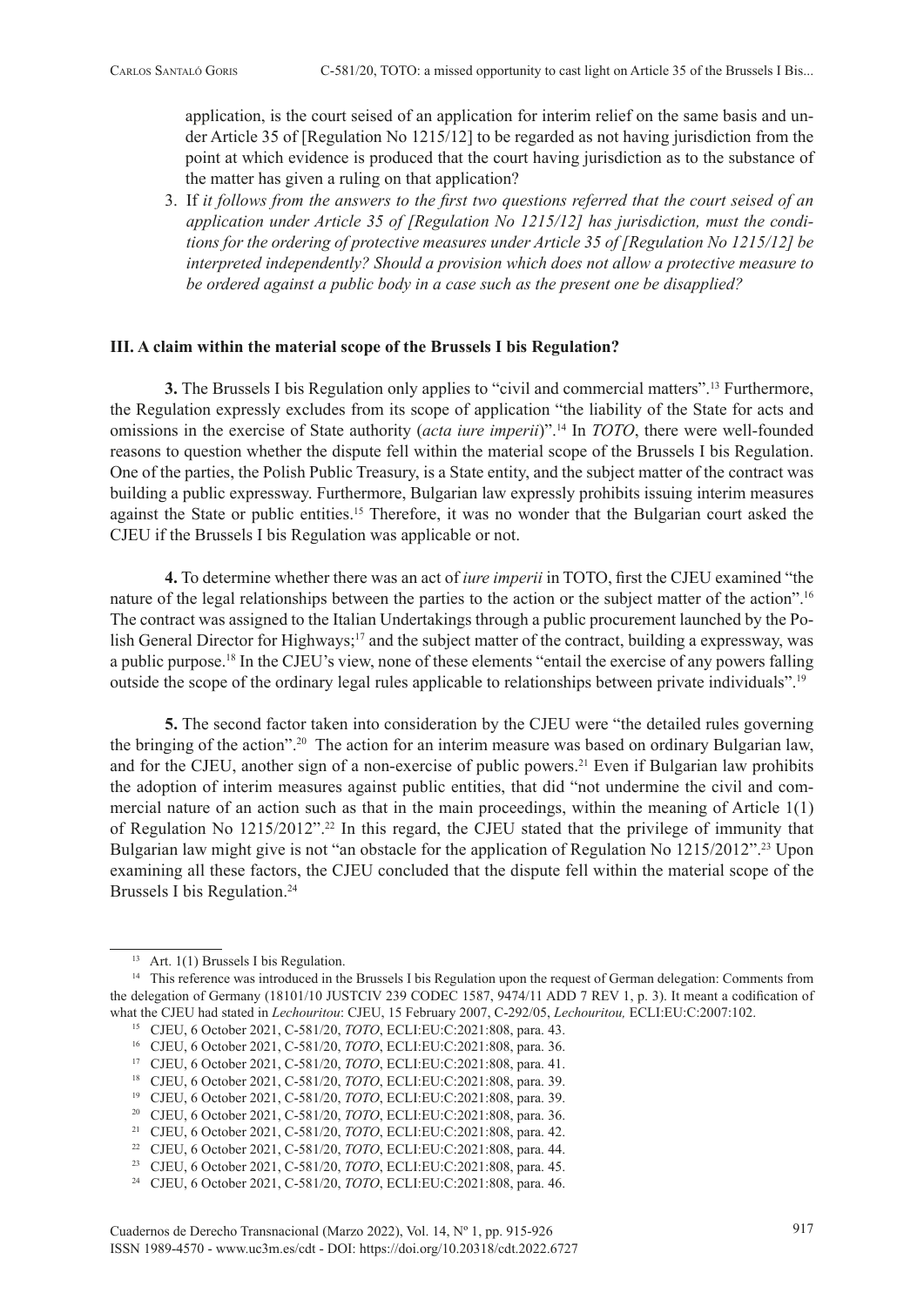application, is the court seised of an application for interim relief on the same basis and under Article 35 of [Regulation No 1215/12] to be regarded as not having jurisdiction from the point at which evidence is produced that the court having jurisdiction as to the substance of the matter has given a ruling on that application?

3. If *it follows from the answers to the first two questions referred that the court seised of an application under Article 35 of [Regulation No 1215/12] has jurisdiction, must the conditions for the ordering of protective measures under Article 35 of [Regulation No 1215/12] be interpreted independently? Should a provision which does not allow a protective measure to be ordered against a public body in a case such as the present one be disapplied?*

### **III. A claim within the material scope of the Brussels I bis Regulation?**

**3.** The Brussels I bis Regulation only applies to "civil and commercial matters".13 Furthermore, the Regulation expressly excludes from its scope of application "the liability of the State for acts and omissions in the exercise of State authority (*acta iure imperii*)".14 In *TOTO*, there were well-founded reasons to question whether the dispute fell within the material scope of the Brussels I bis Regulation. One of the parties, the Polish Public Treasury, is a State entity, and the subject matter of the contract was building a public expressway. Furthermore, Bulgarian law expressly prohibits issuing interim measures against the State or public entities.15 Therefore, it was no wonder that the Bulgarian court asked the CJEU if the Brussels I bis Regulation was applicable or not.

**4.** To determine whether there was an act of *iure imperii* in TOTO, first the CJEU examined "the nature of the legal relationships between the parties to the action or the subject matter of the action".<sup>16</sup> The contract was assigned to the Italian Undertakings through a public procurement launched by the Polish General Director for Highways;<sup>17</sup> and the subject matter of the contract, building a expressway, was a public purpose.18 In the CJEU's view, none of these elements "entail the exercise of any powers falling outside the scope of the ordinary legal rules applicable to relationships between private individuals".19

**5.** The second factor taken into consideration by the CJEU were "the detailed rules governing the bringing of the action".20 The action for an interim measure was based on ordinary Bulgarian law, and for the CJEU, another sign of a non-exercise of public powers.<sup>21</sup> Even if Bulgarian law prohibits the adoption of interim measures against public entities, that did "not undermine the civil and commercial nature of an action such as that in the main proceedings, within the meaning of Article 1(1) of Regulation No 1215/2012".22 In this regard, the CJEU stated that the privilege of immunity that Bulgarian law might give is not "an obstacle for the application of Regulation No 1215/2012".<sup>23</sup> Upon examining all these factors, the CJEU concluded that the dispute fell within the material scope of the Brussels I bis Regulation.<sup>24</sup>

<sup>&</sup>lt;sup>13</sup> Art.  $1(1)$  Brussels I bis Regulation.<br><sup>14</sup> This reference was introduced in the Brussels I bis Regulation upon the request of German delegation: Comments from the delegation of Germany (18101/10 JUSTCIV 239 CODEC 1587, 9474/11 ADD 7 REV 1, p. 3). It meant a codification of what the CJEU had stated in *Lechouritou*: CJEU, 15 February 2007, C-292/05, *Lechouritou,* ECLI:EU:C:2007:102.

<sup>&</sup>lt;sup>16</sup> CJEU, 6 October 2021, C-581/20, *TOTO*, ECLI:EU:C:2021:808, para. 36.

<sup>17</sup> CJEU, 6 October 2021, C-581/20, *TOTO*, ECLI:EU:C:2021:808, para. 41.

<sup>18</sup> CJEU, 6 October 2021, C-581/20, *TOTO*, ECLI:EU:C:2021:808, para. 39.

<sup>19</sup> CJEU, 6 October 2021, C-581/20, *TOTO*, ECLI:EU:C:2021:808, para. 39. 20 CJEU, 6 October 2021, C-581/20, *TOTO*, ECLI:EU:C:2021:808, para. 36.

<sup>21</sup> CJEU, 6 October 2021, C-581/20, *TOTO*, ECLI:EU:C:2021:808, para. 42.

<sup>22</sup> CJEU, 6 October 2021, C-581/20, *TOTO*, ECLI:EU:C:2021:808, para. 44.

<sup>23</sup> CJEU, 6 October 2021, C-581/20, *TOTO*, ECLI:EU:C:2021:808, para. 45.

<sup>24</sup> CJEU, 6 October 2021, C-581/20, *TOTO*, ECLI:EU:C:2021:808, para. 46.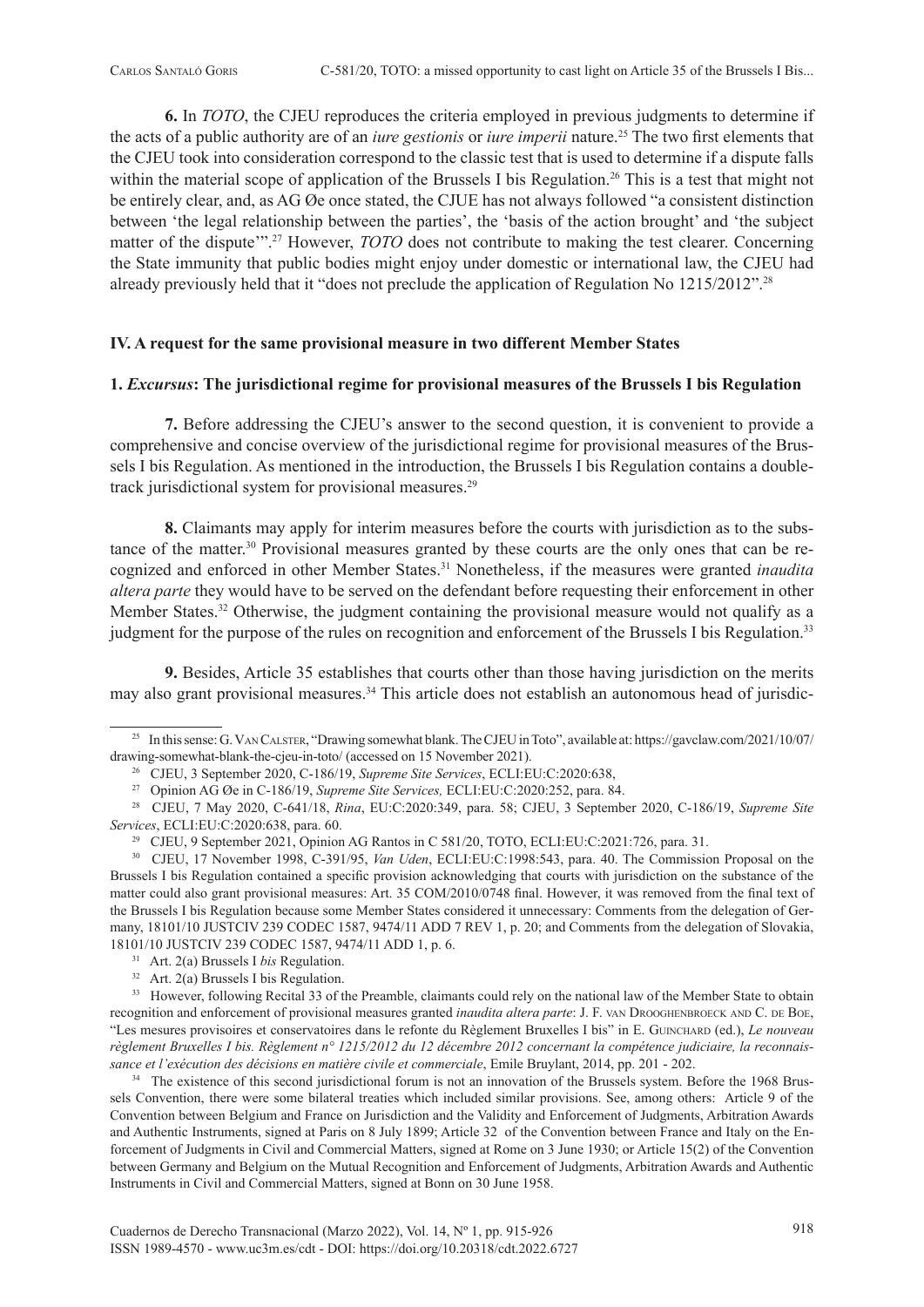**6.** In *TOTO*, the CJEU reproduces the criteria employed in previous judgments to determine if the acts of a public authority are of an *iure gestionis* or *iure imperii* nature.25 The two first elements that the CJEU took into consideration correspond to the classic test that is used to determine if a dispute falls within the material scope of application of the Brussels I bis Regulation.<sup>26</sup> This is a test that might not be entirely clear, and, as AG Øe once stated, the CJUE has not always followed "a consistent distinction between 'the legal relationship between the parties', the 'basis of the action brought' and 'the subject matter of the dispute"<sup>27</sup> However, *TOTO* does not contribute to making the test clearer. Concerning the State immunity that public bodies might enjoy under domestic or international law, the CJEU had already previously held that it "does not preclude the application of Regulation No 1215/2012".28

#### **IV. A request for the same provisional measure in two different Member States**

### **1.** *Excursus***: The jurisdictional regime for provisional measures of the Brussels I bis Regulation**

**7.** Before addressing the CJEU's answer to the second question, it is convenient to provide a comprehensive and concise overview of the jurisdictional regime for provisional measures of the Brussels I bis Regulation. As mentioned in the introduction, the Brussels I bis Regulation contains a doubletrack jurisdictional system for provisional measures.<sup>29</sup>

**8.** Claimants may apply for interim measures before the courts with jurisdiction as to the substance of the matter.30 Provisional measures granted by these courts are the only ones that can be recognized and enforced in other Member States.31 Nonetheless, if the measures were granted *inaudita altera parte* they would have to be served on the defendant before requesting their enforcement in other Member States.<sup>32</sup> Otherwise, the judgment containing the provisional measure would not qualify as a judgment for the purpose of the rules on recognition and enforcement of the Brussels I bis Regulation.33

**9.** Besides, Article 35 establishes that courts other than those having jurisdiction on the merits may also grant provisional measures.34 This article does not establish an autonomous head of jurisdic-

<sup>&</sup>lt;sup>25</sup> In this sense: G. VAN CALSTER, "Drawing somewhat blank. The CJEU in Toto", available at: [https://gavclaw.com/2021/10/07/](https://gavclaw.com/2021/10/07/drawing-somewhat-blank-the-cjeu-in-toto/)<br>drawing-somewhat-blank-the-cjeu-in-toto/ (accessed on 15 November 2021).

<sup>&</sup>lt;sup>26</sup> CJEU, 3 September 2020, C-186/19, Supreme Site Services, ECLI:EU:C:2020:638,<br><sup>27</sup> Opinion AG Øe in C-186/19, Supreme Site Services, ECLI:EU:C:2020:252, para. 84.<br><sup>28</sup> CJEU, 7 May 2020, C-641/18, *Rina*, EU:C:2020:349, Services, ECLI:EU:C:2020:638, para. 60.<br><sup>29</sup> CJEU, 9 September 2021, Opinion AG Rantos in C 581/20, TOTO, ECLI:EU:C:2021:726, para. 31.<br><sup>30</sup> CJEU, 17 November 1998, C-391/95, *Van Uden*, ECLI:EU:C:1998:543, para. 40. The C

Brussels I bis Regulation contained a specific provision acknowledging that courts with jurisdiction on the substance of the matter could also grant provisional measures: Art. 35 COM/2010/0748 final. However, it was removed from the final text of the Brussels I bis Regulation because some Member States considered it unnecessary: Comments from the delegation of Germany, 18101/10 JUSTCIV 239 CODEC 1587, 9474/11 ADD 7 REV 1, p. 20; and Comments from the delegation of Slovakia, 18101/10 JUSTCIV 239 CODEC 1587, 9474/11 ADD 1, p. 6.

<sup>&</sup>lt;sup>31</sup> Art. 2(a) Brussels I *bis* Regulation.<br><sup>32</sup> Art. 2(a) Brussels I bis Regulation.

<sup>&</sup>lt;sup>33</sup> However, following Recital 33 of the Preamble, claimants could rely on the national law of the Member State to obtain recognition and enforcement of provisional measures granted *inaudita altera parte*: J. F. vAN DROOGHENBROECK AND C. DE BOE, "Les mesures provisoires et conservatoires dans le refonte du Règlement Bruxelles I bis" in E. GUINCHARD (ed.), *Le nouveau règlement Bruxelles I bis. Règlement n° 1215/2012 du 12 décembre 2012 concernant la compétence judiciaire, la reconnaissance et l'exécution des décisions en matière civile et commerciale*, Emile Bruylant, 2014, pp. 201 - 202.

<sup>&</sup>lt;sup>34</sup> The existence of this second jurisdictional forum is not an innovation of the Brussels system. Before the 1968 Brussels Convention, there were some bilateral treaties which included similar provisions. See, among others: Article 9 of the Convention between Belgium and France on Jurisdiction and the Validity and Enforcement of Judgments, Arbitration Awards and Authentic Instruments, signed at Paris on 8 July 1899; Article 32 of the Convention between France and Italy on the Enforcement of Judgments in Civil and Commercial Matters, signed at Rome on 3 June 1930; or Article 15(2) of the Convention between Germany and Belgium on the Mutual Recognition and Enforcement of Judgments, Arbitration Awards and Authentic Instruments in Civil and Commercial Matters, signed at Bonn on 30 June 1958.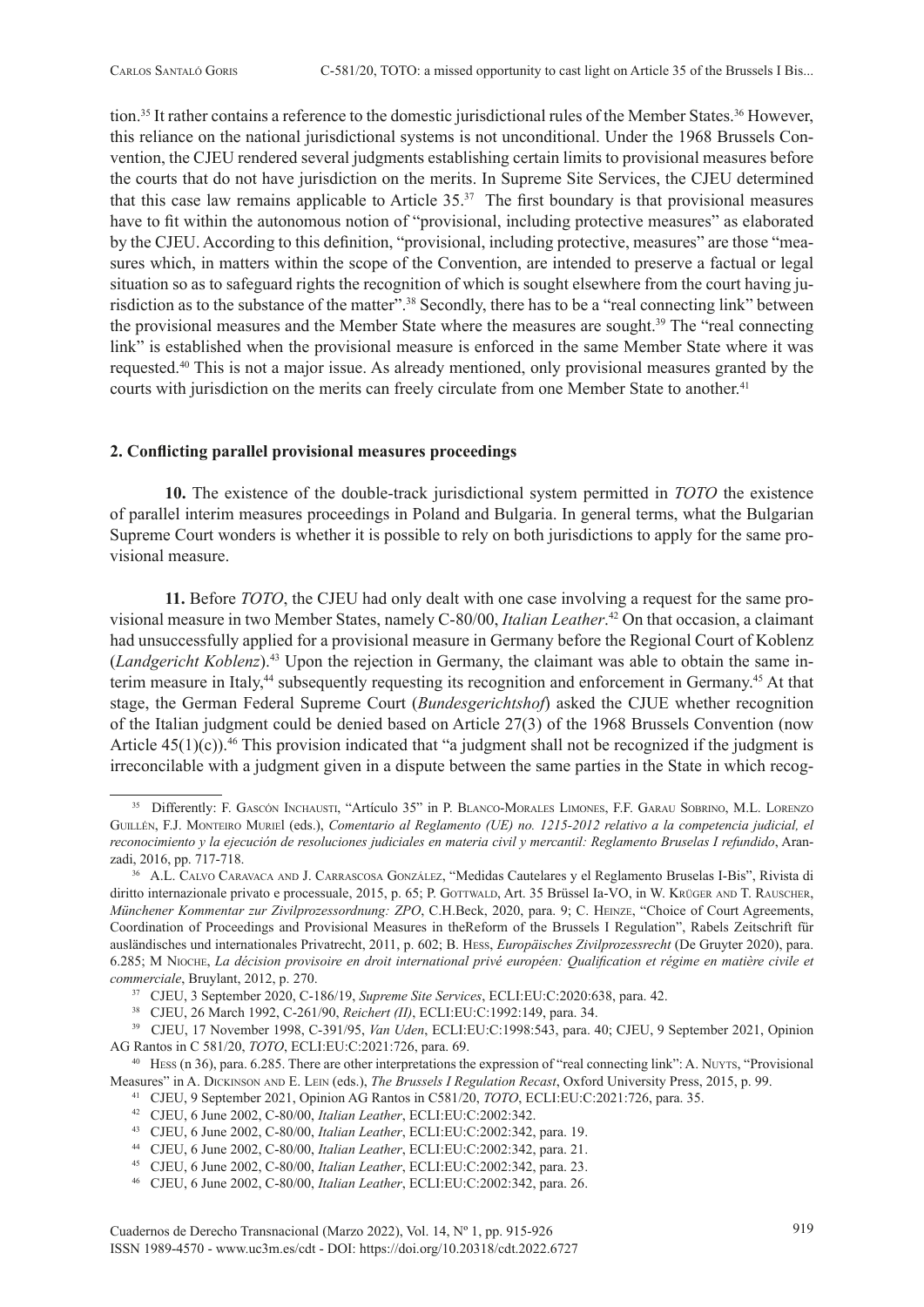tion.35 It rather contains a reference to the domestic jurisdictional rules of the Member States.36 However, this reliance on the national jurisdictional systems is not unconditional. Under the 1968 Brussels Convention, the CJEU rendered several judgments establishing certain limits to provisional measures before the courts that do not have jurisdiction on the merits. In Supreme Site Services, the CJEU determined that this case law remains applicable to Article 35.37 The first boundary is that provisional measures have to fit within the autonomous notion of "provisional, including protective measures" as elaborated by the CJEU. According to this definition, "provisional, including protective, measures" are those "measures which, in matters within the scope of the Convention, are intended to preserve a factual or legal situation so as to safeguard rights the recognition of which is sought elsewhere from the court having jurisdiction as to the substance of the matter".38 Secondly, there has to be a "real connecting link" between the provisional measures and the Member State where the measures are sought.<sup>39</sup> The "real connecting" link" is established when the provisional measure is enforced in the same Member State where it was requested.40 This is not a major issue. As already mentioned, only provisional measures granted by the courts with jurisdiction on the merits can freely circulate from one Member State to another.<sup>41</sup>

#### **2. Conflicting parallel provisional measures proceedings**

**10.** The existence of the double-track jurisdictional system permitted in *TOTO* the existence of parallel interim measures proceedings in Poland and Bulgaria. In general terms, what the Bulgarian Supreme Court wonders is whether it is possible to rely on both jurisdictions to apply for the same provisional measure.

**11.** Before *TOTO*, the CJEU had only dealt with one case involving a request for the same provisional measure in two Member States, namely C-80/00, *Italian Leather*. 42 On that occasion, a claimant had unsuccessfully applied for a provisional measure in Germany before the Regional Court of Koblenz (*Landgericht Koblenz*).<sup>43</sup> Upon the rejection in Germany, the claimant was able to obtain the same interim measure in Italy,<sup>44</sup> subsequently requesting its recognition and enforcement in Germany.<sup>45</sup> At that stage, the German Federal Supreme Court (*Bundesgerichtshof*) asked the CJUE whether recognition of the Italian judgment could be denied based on Article 27(3) of the 1968 Brussels Convention (now Article  $45(1)(c)$ .<sup>46</sup> This provision indicated that "a judgment shall not be recognized if the judgment is irreconcilable with a judgment given in a dispute between the same parties in the State in which recog-

<sup>35</sup> Differently: F. Gascón Inchausti, "Artículo 35" in P. Blanco-Morales Limones, F.F. Garau Sobrino, M.L. Lorenzo Guillén, F.J. Monteiro Muriel (eds.), *Comentario al Reglamento (UE) no. 1215-2012 relativo a la competencia judicial, el reconocimiento y la ejecución de resoluciones judiciales en materia civil y mercantil: Reglamento Bruselas I refundido*, Aranzadi, 2016, pp. 717-718.<br><sup>36</sup> A.L. Calvo Caravaca and J. Carrascosa González, "Medidas Cautelares y el Reglamento Bruselas I-Bis", Rivista di

diritto internazionale privato e processuale, 2015, p. 65; P. GOTTWALD, Art. 35 Brüssel Ia-VO, in W. KRÜGER AND T. RAUSCHER, *Münchener Kommentar zur Zivilprozessordnung: ZPO*, C.H.Beck, 2020, para. 9; C. HEINZE, "Choice of Court Agreements, Coordination of Proceedings and Provisional Measures in theReform of the Brussels I Regulation", Rabels Zeitschrift für ausländisches und internationales Privatrecht, 2011, p. 602; B. Hess, *Europäisches Zivilprozessrecht* (De Gruyter 2020), para. 6.285; M Nioche, *La décision provisoire en droit international privé européen: Qualification et régime en matière civile et commerciale*, Bruylant, 2012, p. 270.

<sup>&</sup>lt;sup>37</sup> CJEU, 3 September 2020, C-186/19, Supreme Site Services, ECLI:EU:C:2020:638, para. 42.<br><sup>38</sup> CJEU, 26 March 1992, C-261/90, *Reichert (II)*, ECLI:EU:C:1992:149, para. 34.<br><sup>39</sup> CJEU, 17 November 1998, C-391/95, *Van Ude* AG Rantos in C 581/20, *TOTO*, ECLI:EU:C:2021:726, para. 69.<br><sup>40</sup> Hess (n 36), para. 6.285. There are other interpretations the expression of "real connecting link": A. Nuyts, "Provisional

Measures" in A. Dickinson and E. Lein (eds.), *The Brussels I Regulation Recast*, Oxford University Press, 2015, p. 99.

<sup>41</sup> CJEU, 9 September 2021, Opinion AG Rantos in C581/20, *TOTO*, ECLI:EU:C:2021:726, para. 35. 42 CJEU, 6 June 2002, C-80/00, *Italian Leather*, ECLI:EU:C:2002:342.

<sup>&</sup>lt;sup>44</sup> CJEU, 6 June 2002, C-80/00, *Italian Leather*, ECLI:EU:C:2002:342, para. 21.<br><sup>45</sup> CJEU, 6 June 2002, C-80/00, *Italian Leather*, ECLI:EU:C:2002:342, para. 23.<br><sup>46</sup> CJEU, 6 June 2002, C-80/00, *Italian Leather*, ECLI:E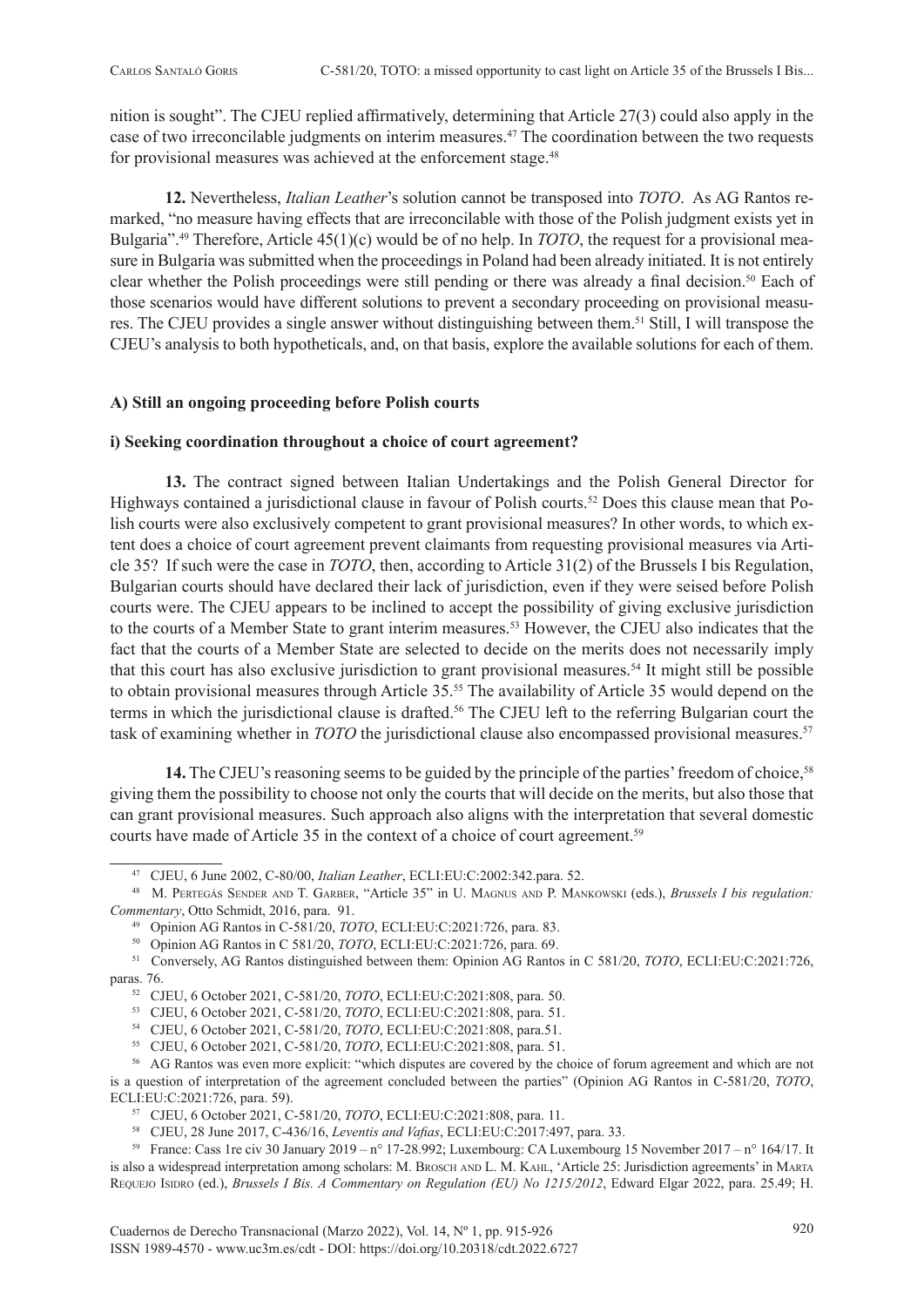nition is sought". The CJEU replied affirmatively, determining that Article 27(3) could also apply in the case of two irreconcilable judgments on interim measures.<sup>47</sup> The coordination between the two requests for provisional measures was achieved at the enforcement stage.<sup>48</sup>

**12.** Nevertheless, *Italian Leather*'s solution cannot be transposed into *TOTO*. As AG Rantos remarked, "no measure having effects that are irreconcilable with those of the Polish judgment exists yet in Bulgaria".49 Therefore, Article 45(1)(c) would be of no help. In *TOTO*, the request for a provisional measure in Bulgaria was submitted when the proceedings in Poland had been already initiated. It is not entirely clear whether the Polish proceedings were still pending or there was already a final decision.<sup>50</sup> Each of those scenarios would have different solutions to prevent a secondary proceeding on provisional measures. The CJEU provides a single answer without distinguishing between them.51 Still, I will transpose the CJEU's analysis to both hypotheticals, and, on that basis, explore the available solutions for each of them.

# **A) Still an ongoing proceeding before Polish courts**

# **i) Seeking coordination throughout a choice of court agreement?**

**13.** The contract signed between Italian Undertakings and the Polish General Director for Highways contained a jurisdictional clause in favour of Polish courts.<sup>52</sup> Does this clause mean that Polish courts were also exclusively competent to grant provisional measures? In other words, to which extent does a choice of court agreement prevent claimants from requesting provisional measures via Article 35? If such were the case in *TOTO*, then, according to Article 31(2) of the Brussels I bis Regulation, Bulgarian courts should have declared their lack of jurisdiction, even if they were seised before Polish courts were. The CJEU appears to be inclined to accept the possibility of giving exclusive jurisdiction to the courts of a Member State to grant interim measures.<sup>53</sup> However, the CJEU also indicates that the fact that the courts of a Member State are selected to decide on the merits does not necessarily imply that this court has also exclusive jurisdiction to grant provisional measures.54 It might still be possible to obtain provisional measures through Article 35.55 The availability of Article 35 would depend on the terms in which the jurisdictional clause is drafted.<sup>56</sup> The CJEU left to the referring Bulgarian court the task of examining whether in *TOTO* the jurisdictional clause also encompassed provisional measures.<sup>57</sup>

14. The CJEU's reasoning seems to be guided by the principle of the parties' freedom of choice,<sup>58</sup> giving them the possibility to choose not only the courts that will decide on the merits, but also those that can grant provisional measures. Such approach also aligns with the interpretation that several domestic courts have made of Article 35 in the context of a choice of court agreement.<sup>59</sup>

<sup>47</sup> CJEU, 6 June 2002, C-80/00, *Italian Leather*, ECLI:EU:C:2002:342.para. 52. 48 M. Pertegás Sender and T. Garber, "Article 35" in U. Magnus and P. Mankowski (eds.), *Brussels I bis regulation: Commentary*, Otto Schmidt, 2016, para. 91.<br><sup>49</sup> Opinion AG Rantos in C-581/20, *TOTO*, ECLI:EU:C:2021:726, para. 83.

<sup>50</sup> Opinion AG Rantos in C 581/20, *TOTO*, ECLI:EU:C:2021:726, para. 69.

<sup>51</sup> Conversely, AG Rantos distinguished between them: Opinion AG Rantos in C 581/20, *TOTO*, ECLI:EU:C:2021:726, paras. 76.

<sup>52</sup> CJEU, 6 October 2021, C-581/20, *TOTO*, ECLI:EU:C:2021:808, para. 50.<br>53 CJEU, 6 October 2021, C-581/20, *TOTO*, ECLI:EU:C:2021:808, para. 51.

<sup>&</sup>lt;sup>54</sup> CJEU, 6 October 2021, C-581/20, *TOTO*, ECLI:EU:C:2021:808, para.51.<br><sup>55</sup> CJEU, 6 October 2021, C-581/20, *TOTO*, ECLI:EU:C:2021:808, para. 51.

<sup>&</sup>lt;sup>56</sup> AG Rantos was even more explicit: "which disputes are covered by the choice of forum agreement and which are not is a question of interpretation of the agreement concluded between the parties" (Opinion AG Rantos in C-581/20, *TOTO*, ECLI:EU:C:2021:726, para. 59). 57 CJEU, 6 October 2021, C-581/20, *TOTO*, ECLI:EU:C:2021:808, para. 11.

<sup>58</sup> CJEU, 28 June 2017, C-436/16, *Leventis and Vafias*, ECLI:EU:C:2017:497, para. 33.

<sup>59</sup> France: Cass 1re civ 30 January 2019 – n° 17-28.992; Luxembourg: CA Luxembourg 15 November 2017 – n° 164/17. It is also a widespread interpretation among scholars: M. Brosch and L. M. Kahl, 'Article 25: Jurisdiction agreements' in Marta REQUEJO ISIDRO (ed.), *Brussels I Bis. A Commentary on Regulation (EU) No 1215/2012*, Edward Elgar 2022, para. 25.49; H.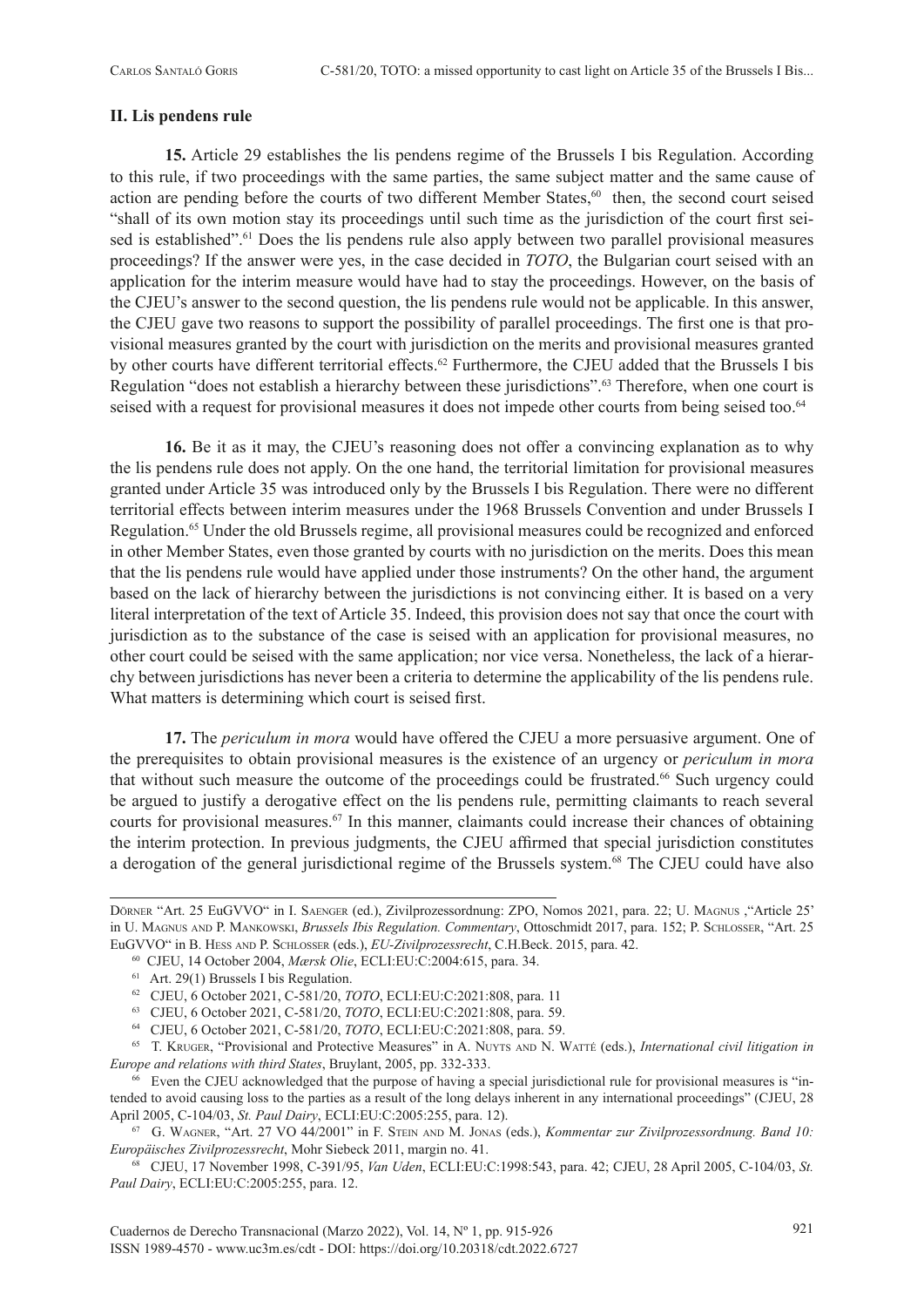#### **II. Lis pendens rule**

**15.** Article 29 establishes the lis pendens regime of the Brussels I bis Regulation. According to this rule, if two proceedings with the same parties, the same subject matter and the same cause of action are pending before the courts of two different Member States,<sup>60</sup> then, the second court seised "shall of its own motion stay its proceedings until such time as the jurisdiction of the court first seised is established".<sup>61</sup> Does the lis pendens rule also apply between two parallel provisional measures proceedings? If the answer were yes, in the case decided in *TOTO*, the Bulgarian court seised with an application for the interim measure would have had to stay the proceedings. However, on the basis of the CJEU's answer to the second question, the lis pendens rule would not be applicable. In this answer, the CJEU gave two reasons to support the possibility of parallel proceedings. The first one is that provisional measures granted by the court with jurisdiction on the merits and provisional measures granted by other courts have different territorial effects.<sup>62</sup> Furthermore, the CJEU added that the Brussels I bis Regulation "does not establish a hierarchy between these jurisdictions".63 Therefore, when one court is seised with a request for provisional measures it does not impede other courts from being seised too.<sup>64</sup>

**16.** Be it as it may, the CJEU's reasoning does not offer a convincing explanation as to why the lis pendens rule does not apply. On the one hand, the territorial limitation for provisional measures granted under Article 35 was introduced only by the Brussels I bis Regulation. There were no different territorial effects between interim measures under the 1968 Brussels Convention and under Brussels I Regulation.65 Under the old Brussels regime, all provisional measures could be recognized and enforced in other Member States, even those granted by courts with no jurisdiction on the merits. Does this mean that the lis pendens rule would have applied under those instruments? On the other hand, the argument based on the lack of hierarchy between the jurisdictions is not convincing either. It is based on a very literal interpretation of the text of Article 35. Indeed, this provision does not say that once the court with jurisdiction as to the substance of the case is seised with an application for provisional measures, no other court could be seised with the same application; nor vice versa. Nonetheless, the lack of a hierarchy between jurisdictions has never been a criteria to determine the applicability of the lis pendens rule. What matters is determining which court is seised first.

**17.** The *periculum in mora* would have offered the CJEU a more persuasive argument. One of the prerequisites to obtain provisional measures is the existence of an urgency or *periculum in mora* that without such measure the outcome of the proceedings could be frustrated.66 Such urgency could be argued to justify a derogative effect on the lis pendens rule, permitting claimants to reach several courts for provisional measures.<sup>67</sup> In this manner, claimants could increase their chances of obtaining the interim protection. In previous judgments, the CJEU affirmed that special jurisdiction constitutes a derogation of the general jurisdictional regime of the Brussels system.68 The CJEU could have also

<sup>65</sup> T. Kruger, "Provisional and Protective Measures" in A. Nuyts and N. Watté (eds.), *International civil litigation in Europe and relations with third States*, Bruylant, 2005, pp. 332-333.

66 Even the CJEU acknowledged that the purpose of having a special jurisdictional rule for provisional measures is "intended to avoid causing loss to the parties as a result of the long delays inherent in any international proceedings" (CJEU, 28 April 2005, C-104/03, *St. Paul Dairy*, ECLI:EU:C:2005:255, para. 12).<br><sup>67</sup> G. WAGNER, "Art. 27 VO 44/2001" in F. STEIN AND M. JONAS (eds.), *Kommentar zur Zivilprozessordnung. Band 10:* 

*Europäisches Zivilprozessrecht*, Mohr Siebeck 2011, margin no. 41.

68 CJEU, 17 November 1998, C-391/95, *Van Uden*, ECLI:EU:C:1998:543, para. 42; CJEU, 28 April 2005, C-104/03, *St. Paul Dairy*, ECLI:EU:C:2005:255, para. 12.

Dörner "Art. 25 EuGVVO" in I. Saenger (ed.), Zivilprozessordnung: ZPO, Nomos 2021, para. 22; U. Magnus ,"Article 25' in U. Magnus and P. Mankowski, *Brussels Ibis Regulation. Commentary*, Ottoschmidt 2017, para. 152; P. Schlosser, "Art. 25 EuGVVO" in B. HESS AND P. SCHLOSSER (eds.), *EU-Zivilprozessrecht*, C.H.Beck. 2015, para. 42.<br><sup>60</sup> CJEU, 14 October 2004, *Mærsk Olie*, ECLI:EU:C:2004:615, para. 34.<br><sup>61</sup> Art. 29(1) Brussels I bis Regulation.<br><sup>62</sup> CJEU, 6

<sup>63</sup> CJEU, 6 October 2021, C-581/20, *TOTO*, ECLI:EU:C:2021:808, para. 59.

<sup>64</sup> CJEU, 6 October 2021, C-581/20, *TOTO*, ECLI:EU:C:2021:808, para. 59.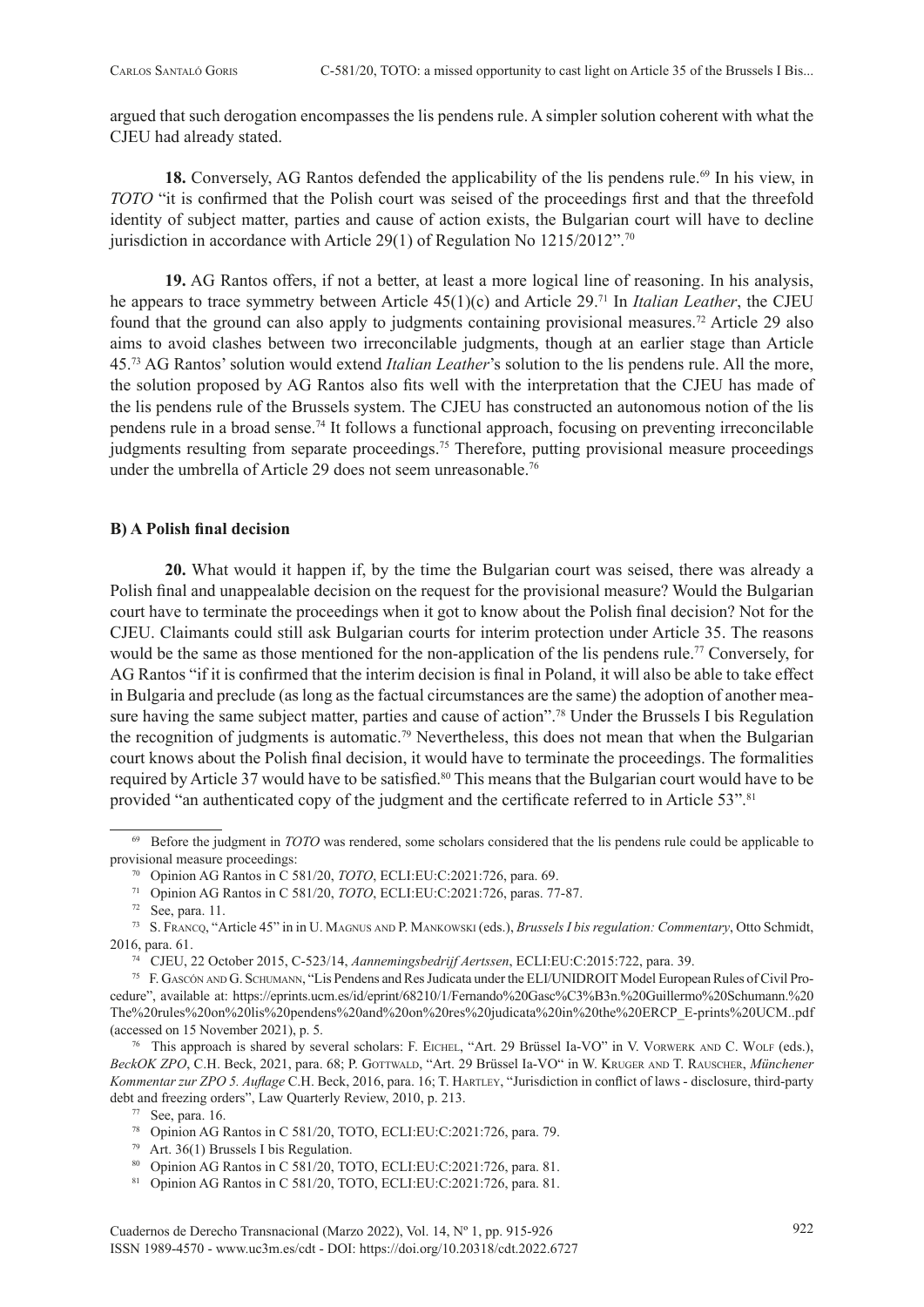argued that such derogation encompasses the lis pendens rule. A simpler solution coherent with what the CJEU had already stated.

18. Conversely, AG Rantos defended the applicability of the lis pendens rule.<sup>69</sup> In his view, in *TOTO* "it is confirmed that the Polish court was seised of the proceedings first and that the threefold identity of subject matter, parties and cause of action exists, the Bulgarian court will have to decline jurisdiction in accordance with Article 29(1) of Regulation No  $1215/2012$ ".<sup>70</sup>

**19.** AG Rantos offers, if not a better, at least a more logical line of reasoning. In his analysis, he appears to trace symmetry between Article 45(1)(c) and Article 29.71 In *Italian Leather*, the CJEU found that the ground can also apply to judgments containing provisional measures.72 Article 29 also aims to avoid clashes between two irreconcilable judgments, though at an earlier stage than Article 45.73 AG Rantos' solution would extend *Italian Leather*'s solution to the lis pendens rule. All the more, the solution proposed by AG Rantos also fits well with the interpretation that the CJEU has made of the lis pendens rule of the Brussels system. The CJEU has constructed an autonomous notion of the lis pendens rule in a broad sense.74 It follows a functional approach, focusing on preventing irreconcilable judgments resulting from separate proceedings.<sup>75</sup> Therefore, putting provisional measure proceedings under the umbrella of Article 29 does not seem unreasonable.<sup>76</sup>

# **B) A Polish final decision**

**20.** What would it happen if, by the time the Bulgarian court was seised, there was already a Polish final and unappealable decision on the request for the provisional measure? Would the Bulgarian court have to terminate the proceedings when it got to know about the Polish final decision? Not for the CJEU. Claimants could still ask Bulgarian courts for interim protection under Article 35. The reasons would be the same as those mentioned for the non-application of the lis pendens rule.<sup>77</sup> Conversely, for AG Rantos "if it is confirmed that the interim decision is final in Poland, it will also be able to take effect in Bulgaria and preclude (as long as the factual circumstances are the same) the adoption of another measure having the same subject matter, parties and cause of action".<sup>78</sup> Under the Brussels I bis Regulation the recognition of judgments is automatic.79 Nevertheless, this does not mean that when the Bulgarian court knows about the Polish final decision, it would have to terminate the proceedings. The formalities required by Article 37 would have to be satisfied.<sup>80</sup> This means that the Bulgarian court would have to be provided "an authenticated copy of the judgment and the certificate referred to in Article 53".<sup>81</sup>

- 77 See, para. 16.<br><sup>78</sup> Opinion AG Rantos in C 581/20, TOTO, ECLI:EU:C:2021:726, para. 79.<br><sup>79</sup> Art. 36(1) Brussels I bis Regulation.
- 
- <sup>80</sup> Opinion AG Rantos in C 581/20, TOTO, ECLI:EU:C:2021:726, para. 81.

<sup>69</sup> Before the judgment in *TOTO* was rendered, some scholars considered that the lis pendens rule could be applicable to provisional measure proceedings:

<sup>&</sup>lt;sup>70</sup> Opinion AG Rantos in C 581/20, *TOTO*, ECLI:EU:C:2021:726, para. 69.<br><sup>71</sup> Opinion AG Rantos in C 581/20, *TOTO*, ECLI:EU:C:2021:726, paras. 77-87.

<sup>&</sup>lt;sup>72</sup> See, para. 11.<br><sup>73</sup> S. Franco, "Article 45" in in U. Magnus and P. Mankowski (eds.), *Brussels I bis regulation: Commentary*, Otto Schmidt, 2016, para. 61.<br><sup>74</sup> CJEU, 22 October 2015, C-523/14, Aannemingsbedrijf Aertssen, ECLI:EU:C:2015:722, para. 39.<br><sup>75</sup> F. GASCÓN AND G. SCHUMANN, "Lis Pendens and Res Judicata under the ELI/UNIDROIT Model European Rules of C

cedure", available at: [https://eprints.ucm.es/id/eprint/68210/1/Fernando%20Gasc%C3%B3n.%20Guillermo%20Schumann.%20](https://eprints.ucm.es/id/eprint/68210/1/Fernando%20Gasc%C3%B3n.%20Guillermo%20Schumann.%20The%20rules%20on%20lis%20pendens%20and%20on%20res%20judicata%20in%20the%20ERCP_E-prints%20UCM..pdf) [The%20rules%20on%20lis%20pendens%20and%20on%20res%20judicata%20in%20the%20ERCP\\_E-prints%20UCM..pdf](https://eprints.ucm.es/id/eprint/68210/1/Fernando%20Gasc%C3%B3n.%20Guillermo%20Schumann.%20The%20rules%20on%20lis%20pendens%20and%20on%20res%20judicata%20in%20the%20ERCP_E-prints%20UCM..pdf) (accessed on 15 November 2021), p. 5.

<sup>&</sup>lt;sup>76</sup> This approach is shared by several scholars: F. EICHEL, "Art. 29 Brüssel Ia-VO" in V. VORWERK AND C. WOLF (eds.), *BeckOK ZPO*, C.H. Beck, 2021, para. 68; P. GOTTWALD, "Art. 29 Brüssel Ia-VO" in W. KRUGER AND T. RAUSCHER, Münchener *Kommentar zur ZPO 5. Auflage* C.H. Beck, 2016, para. 16; T. Hartley, "Jurisdiction in conflict of laws - disclosure, third-party debt and freezing orders", Law Quarterly Review, 2010, p. 213.

<sup>81</sup> Opinion AG Rantos in C 581/20, TOTO, ECLI:EU:C:2021:726, para. 81.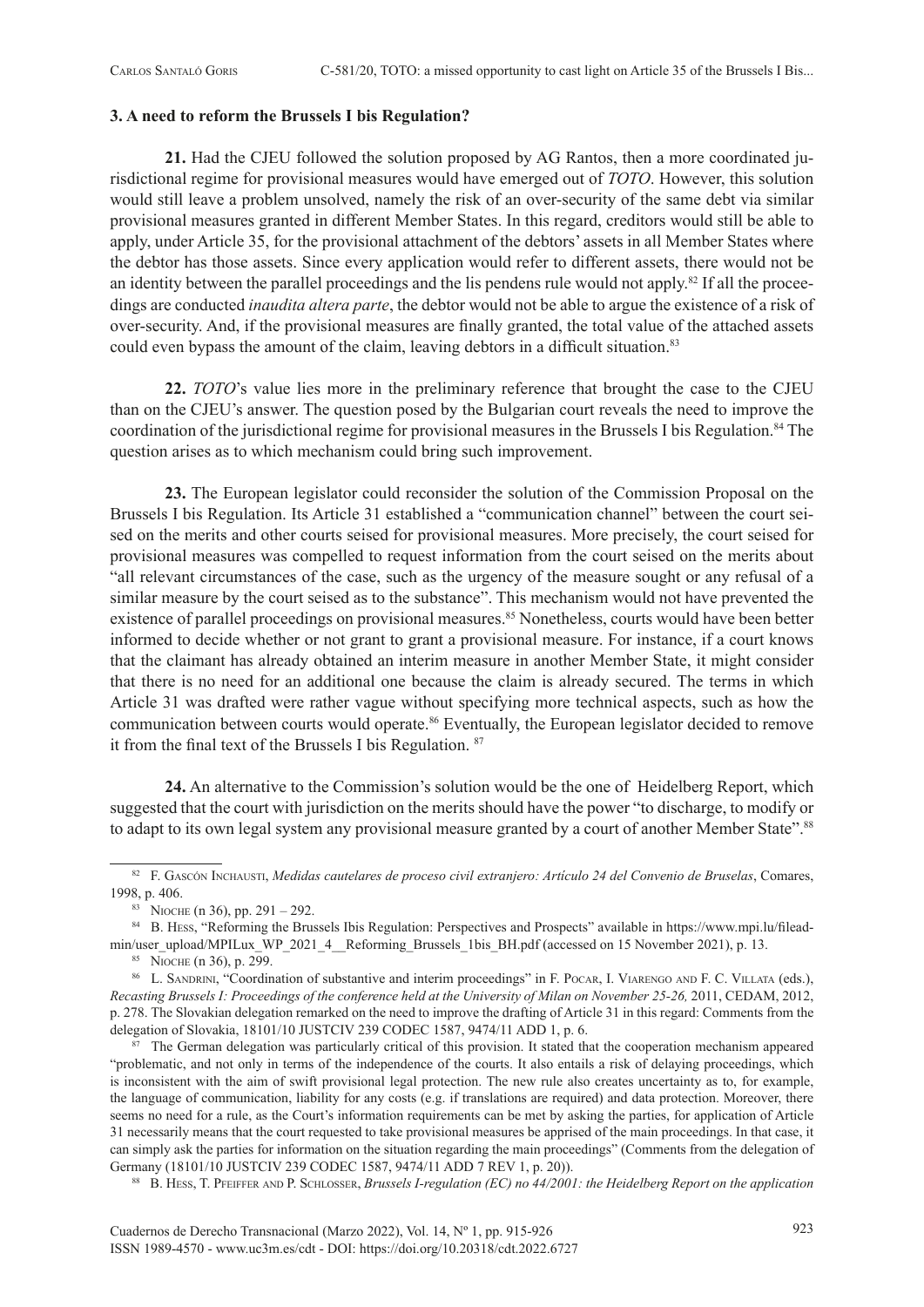#### **3. A need to reform the Brussels I bis Regulation?**

**21.** Had the CJEU followed the solution proposed by AG Rantos, then a more coordinated jurisdictional regime for provisional measures would have emerged out of *TOTO*. However, this solution would still leave a problem unsolved, namely the risk of an over-security of the same debt via similar provisional measures granted in different Member States. In this regard, creditors would still be able to apply, under Article 35, for the provisional attachment of the debtors' assets in all Member States where the debtor has those assets. Since every application would refer to different assets, there would not be an identity between the parallel proceedings and the lis pendens rule would not apply.82 If all the proceedings are conducted *inaudita altera parte*, the debtor would not be able to argue the existence of a risk of over-security. And, if the provisional measures are finally granted, the total value of the attached assets could even bypass the amount of the claim, leaving debtors in a difficult situation.<sup>83</sup>

**22.** *TOTO*'s value lies more in the preliminary reference that brought the case to the CJEU than on the CJEU's answer. The question posed by the Bulgarian court reveals the need to improve the coordination of the jurisdictional regime for provisional measures in the Brussels I bis Regulation.<sup>84</sup> The question arises as to which mechanism could bring such improvement.

**23.** The European legislator could reconsider the solution of the Commission Proposal on the Brussels I bis Regulation. Its Article 31 established a "communication channel" between the court seised on the merits and other courts seised for provisional measures. More precisely, the court seised for provisional measures was compelled to request information from the court seised on the merits about "all relevant circumstances of the case, such as the urgency of the measure sought or any refusal of a similar measure by the court seised as to the substance". This mechanism would not have prevented the existence of parallel proceedings on provisional measures.<sup>85</sup> Nonetheless, courts would have been better informed to decide whether or not grant to grant a provisional measure. For instance, if a court knows that the claimant has already obtained an interim measure in another Member State, it might consider that there is no need for an additional one because the claim is already secured. The terms in which Article 31 was drafted were rather vague without specifying more technical aspects, such as how the communication between courts would operate.<sup>86</sup> Eventually, the European legislator decided to remove it from the final text of the Brussels I bis Regulation. <sup>87</sup>

**24.** An alternative to the Commission's solution would be the one of Heidelberg Report, which suggested that the court with jurisdiction on the merits should have the power "to discharge, to modify or to adapt to its own legal system any provisional measure granted by a court of another Member State".<sup>88</sup>

<sup>82</sup> F. Gascón Inchausti, *Medidas cautelares de proceso civil extranjero: Artículo 24 del Convenio de Bruselas*, Comares, 1998, p. 406.<br><sup>83</sup> NIOCHE (n 36), pp. 291 – 292.<br><sup>84</sup> B. Hess, "Reforming the Brussels Ibis Regulation: Perspectives and Prospects" available in [https://www.mpi.lu/filead](https://www.mpi.lu/fileadmin/user_upload/MPILux_WP_2021_4__Reforming_Brussels_1bis_BH.pdf)-

min/user\_upload/MPILux\_WP\_2021\_4\_Reforming\_Brussels\_1bis\_BH.pdf (accessed on 15 November 2021), p. 13.<br><sup>85</sup> NIOCHE (n 36), p. 299.<br><sup>86</sup> L. SANDRINI, "Coordination of substantive and interim proceedings" in F. PocAR, I. VIA

*Recasting Brussels I: Proceedings of the conference held at the University of Milan on November 25-26,* 2011, CEDAM, 2012, p. 278. The Slovakian delegation remarked on the need to improve the drafting of Article 31 in this regard: Comments from the delegation of Slovakia, 18101/10 JUSTCIV 239 CODEC 1587, 9474/11 ADD 1, p. 6.

 $87$  The German delegation was particularly critical of this provision. It stated that the cooperation mechanism appeared "problematic, and not only in terms of the independence of the courts. It also entails a risk of delaying proceedings, which is inconsistent with the aim of swift provisional legal protection. The new rule also creates uncertainty as to, for example, the language of communication, liability for any costs (e.g. if translations are required) and data protection. Moreover, there seems no need for a rule, as the Court's information requirements can be met by asking the parties, for application of Article 31 necessarily means that the court requested to take provisional measures be apprised of the main proceedings. In that case, it can simply ask the parties for information on the situation regarding the main proceedings" (Comments from the delegation of Germany (18101/10 JUSTCIV 239 CODEC 1587, 9474/11 ADD 7 REV 1, p. 20)).

<sup>88</sup> B. HESS, T. PFEIFFER AND P. SCHLOSSER, *Brussels I-regulation (EC) no 44/2001: the Heidelberg Report on the application*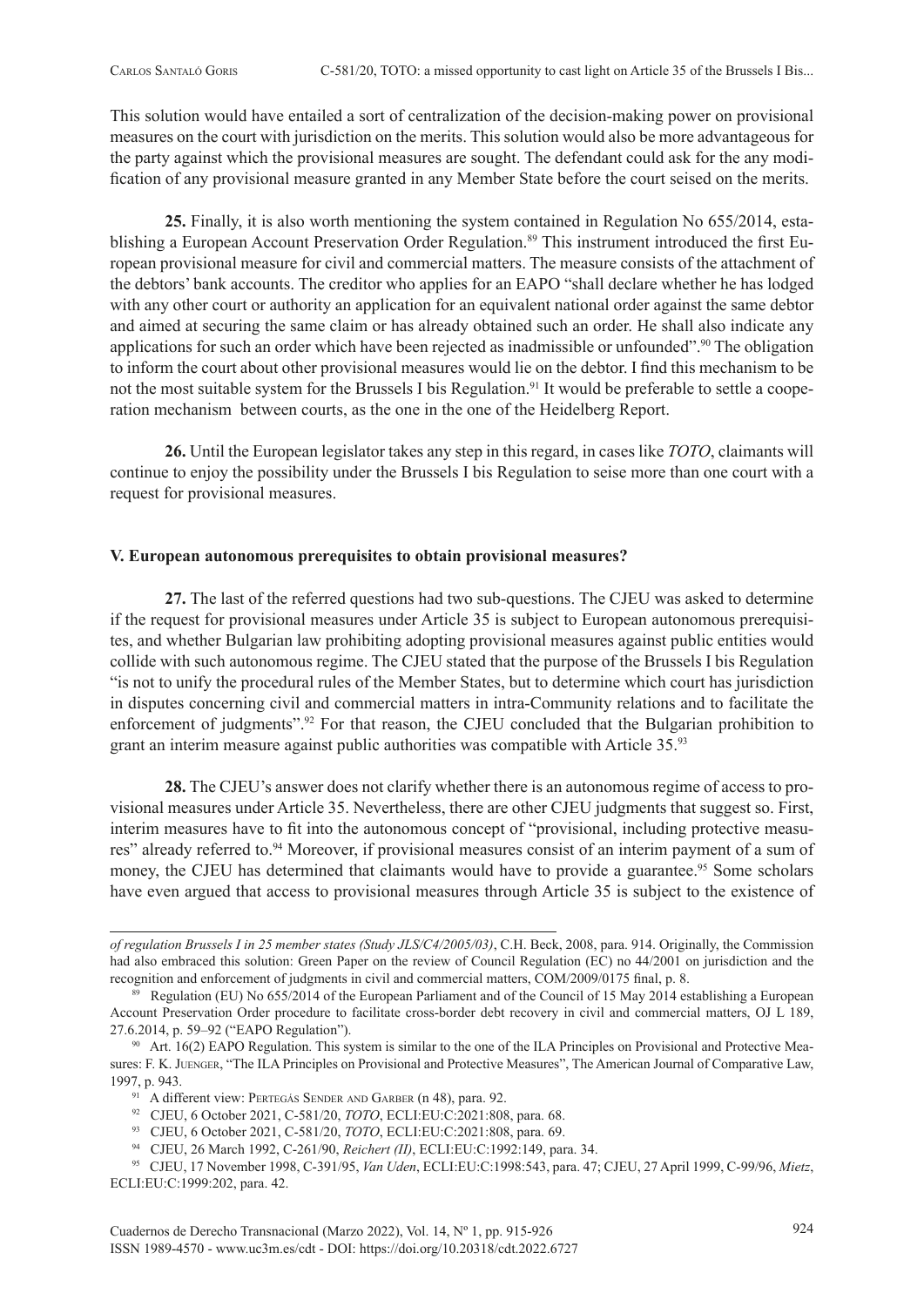This solution would have entailed a sort of centralization of the decision-making power on provisional measures on the court with jurisdiction on the merits. This solution would also be more advantageous for the party against which the provisional measures are sought. The defendant could ask for the any modification of any provisional measure granted in any Member State before the court seised on the merits.

**25.** Finally, it is also worth mentioning the system contained in Regulation No 655/2014, establishing a European Account Preservation Order Regulation.<sup>89</sup> This instrument introduced the first European provisional measure for civil and commercial matters. The measure consists of the attachment of the debtors' bank accounts. The creditor who applies for an EAPO "shall declare whether he has lodged with any other court or authority an application for an equivalent national order against the same debtor and aimed at securing the same claim or has already obtained such an order. He shall also indicate any applications for such an order which have been rejected as inadmissible or unfounded".90 The obligation to inform the court about other provisional measures would lie on the debtor. I find this mechanism to be not the most suitable system for the Brussels I bis Regulation.<sup>91</sup> It would be preferable to settle a cooperation mechanism between courts, as the one in the one of the Heidelberg Report.

**26.** Until the European legislator takes any step in this regard, in cases like *TOTO*, claimants will continue to enjoy the possibility under the Brussels I bis Regulation to seise more than one court with a request for provisional measures.

### **V. European autonomous prerequisites to obtain provisional measures?**

**27.** The last of the referred questions had two sub-questions. The CJEU was asked to determine if the request for provisional measures under Article 35 is subject to European autonomous prerequisites, and whether Bulgarian law prohibiting adopting provisional measures against public entities would collide with such autonomous regime. The CJEU stated that the purpose of the Brussels I bis Regulation "is not to unify the procedural rules of the Member States, but to determine which court has jurisdiction in disputes concerning civil and commercial matters in intra-Community relations and to facilitate the enforcement of judgments".<sup>92</sup> For that reason, the CJEU concluded that the Bulgarian prohibition to grant an interim measure against public authorities was compatible with Article 35.93

**28.** The CJEU's answer does not clarify whether there is an autonomous regime of access to provisional measures under Article 35. Nevertheless, there are other CJEU judgments that suggest so. First, interim measures have to fit into the autonomous concept of "provisional, including protective measures" already referred to.<sup>94</sup> Moreover, if provisional measures consist of an interim payment of a sum of money, the CJEU has determined that claimants would have to provide a guarantee.<sup>95</sup> Some scholars have even argued that access to provisional measures through Article 35 is subject to the existence of

- <sup>91</sup> A different view: PERTEGÁS SENDER AND GARBER (n 48), para. 92.<br><sup>92</sup> CJEU, 6 October 2021, C-581/20, *TOTO*, ECLI:EU:C:2021:808, para. 68.
- 93 CJEU, 6 October 2021, C-581/20, *TOTO*, ECLI:EU:C:2021:808, para. 69.
- 94 CJEU, 26 March 1992, C-261/90, *Reichert (II)*, ECLI:EU:C:1992:149, para. 34.

*of regulation Brussels I in 25 member states (Study JLS/C4/2005/03)*, C.H. Beck, 2008, para. 914. Originally, the Commission had also embraced this solution: Green Paper on the review of Council Regulation (EC) no 44/2001 on jurisdiction and the recognition and enforcement of judgments in civil and commercial matters, COM/2009/0175 final, p. 8.

<sup>&</sup>lt;sup>89</sup> Regulation (EU) No 655/2014 of the European Parliament and of the Council of 15 May 2014 establishing a European Account Preservation Order procedure to facilitate cross-border debt recovery in civil and commercial matters, OJ L 189, 27.6.2014, p. 59–92 ("EAPO Regulation").<br><sup>90</sup> Art. 16(2) EAPO Regulation. This system is similar to the one of the ILA Principles on Provisional and Protective Mea-

sures: F. K. Juenger, "The ILA Principles on Provisional and Protective Measures", The American Journal of Comparative Law, 1997, p. 943.

<sup>95</sup> CJEU, 17 November 1998, C-391/95, *Van Uden*, ECLI:EU:C:1998:543, para. 47; CJEU, 27 April 1999, C-99/96, *Mietz*, ECLI:EU:C:1999:202, para. 42.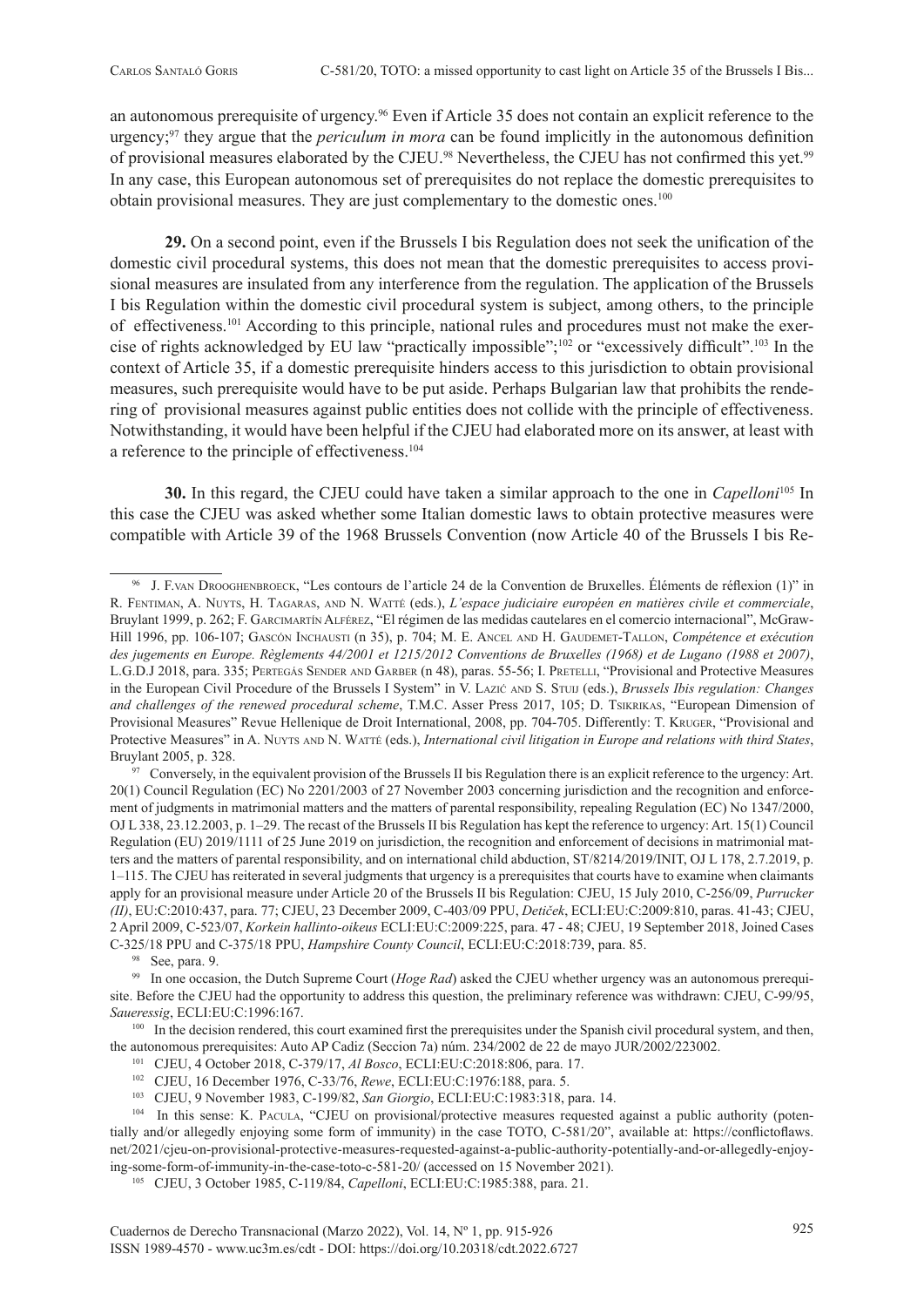an autonomous prerequisite of urgency.96 Even if Article 35 does not contain an explicit reference to the urgency;97 they argue that the *periculum in mora* can be found implicitly in the autonomous definition of provisional measures elaborated by the CJEU.<sup>98</sup> Nevertheless, the CJEU has not confirmed this yet.<sup>99</sup> In any case, this European autonomous set of prerequisites do not replace the domestic prerequisites to obtain provisional measures. They are just complementary to the domestic ones.100

**29.** On a second point, even if the Brussels I bis Regulation does not seek the unification of the domestic civil procedural systems, this does not mean that the domestic prerequisites to access provisional measures are insulated from any interference from the regulation. The application of the Brussels I bis Regulation within the domestic civil procedural system is subject, among others, to the principle of effectiveness.101 According to this principle, national rules and procedures must not make the exercise of rights acknowledged by EU law "practically impossible";102 or "excessively difficult".103 In the context of Article 35, if a domestic prerequisite hinders access to this jurisdiction to obtain provisional measures, such prerequisite would have to be put aside. Perhaps Bulgarian law that prohibits the rendering of provisional measures against public entities does not collide with the principle of effectiveness. Notwithstanding, it would have been helpful if the CJEU had elaborated more on its answer, at least with a reference to the principle of effectiveness.104

**30.** In this regard, the CJEU could have taken a similar approach to the one in *Capelloni*105 In this case the CJEU was asked whether some Italian domestic laws to obtain protective measures were compatible with Article 39 of the 1968 Brussels Convention (now Article 40 of the Brussels I bis Re-

<sup>97</sup> Conversely, in the equivalent provision of the Brussels II bis Regulation there is an explicit reference to the urgency: Art. 20(1) Council Regulation (EC) No 2201/2003 of 27 November 2003 concerning jurisdiction and the recognition and enforcement of judgments in matrimonial matters and the matters of parental responsibility, repealing Regulation (EC) No 1347/2000, OJ L 338, 23.12.2003, p. 1–29. The recast of the Brussels II bis Regulation has kept the reference to urgency: Art. 15(1) Council Regulation (EU) 2019/1111 of 25 June 2019 on jurisdiction, the recognition and enforcement of decisions in matrimonial matters and the matters of parental responsibility, and on international child abduction, ST/8214/2019/INIT, OJ L 178, 2.7.2019, p. 1–115. The CJEU has reiterated in several judgments that urgency is a prerequisites that courts have to examine when claimants apply for an provisional measure under Article 20 of the Brussels II bis Regulation: CJEU, 15 July 2010, C-256/09, *Purrucker (II)*, EU:C:2010:437, para. 77; CJEU, 23 December 2009, C-403/09 PPU, *Detiček*, ECLI:EU:C:2009:810, paras. 41-43; CJEU, 2 April 2009, C-523/07, *Korkein hallinto-oikeus* ECLI:EU:C:2009:225, para. 47 - 48; CJEU, 19 September 2018, Joined Cases C-325/18 PPU and C-375/18 PPU, *Hampshire County Council*, ECLI:EU:C:2018:739, para. 85.

<sup>98</sup> See, para. 9.<br><sup>99</sup> In one occasion, the Dutch Supreme Court (*Hoge Rad*) asked the CJEU whether urgency was an autonomous prerequisite. Before the CJEU had the opportunity to address this question, the preliminary reference was withdrawn: CJEU, C-99/95, *Saueressig*, ECLI:EU:C:1996:167.

<sup>100</sup> In the decision rendered, this court examined first the prerequisites under the Spanish civil procedural system, and then, the autonomous prerequisites: Auto AP Cadiz (Seccion 7a) núm. 234/2002 de 22 de mayo JUR/2002/223002.

- 
- 
- 

<sup>101</sup> CJEU, 4 October 2018, C-379/17, Al Bosco, ECLI:EU:C:2018:806, para. 17.<br><sup>102</sup> CJEU, 16 December 1976, C-33/76, Rewe, ECLI:EU:C:1976:188, para. 5.<br><sup>103</sup> CJEU, 9 November 1983, C-199/82, *San Giorgio*, ECLI:EU:C:1983:3 tially and/or allegedly enjoying some form of immunity) in the case TOTO, C-581/20", available at: [https://conflictoflaws.](https://conflictoflaws.net/2021/cjeu-on-provisional-protective-measures-requested-against-a-public-authority-potentially-and-or-allegedly-enjoying-some-form-of-immunity-in-the-case-toto-c-581-20/) [net/2021/cjeu-on-provisional-protective-measures-requested-against-a-public-authority-potentially-and-or-allegedly-enjoy](https://conflictoflaws.net/2021/cjeu-on-provisional-protective-measures-requested-against-a-public-authority-potentially-and-or-allegedly-enjoying-some-form-of-immunity-in-the-case-toto-c-581-20/)[ing-some-form-of-immunity-in-the-case-toto-c-581-20/](https://conflictoflaws.net/2021/cjeu-on-provisional-protective-measures-requested-against-a-public-authority-potentially-and-or-allegedly-enjoying-some-form-of-immunity-in-the-case-toto-c-581-20/) (accessed on 15 November 2021).

105 CJEU, 3 October 1985, C-119/84, *Capelloni*, ECLI:EU:C:1985:388, para. 21.

<sup>96</sup> J. F.van Drooghenbroeck, "Les contours de l'article 24 de la Convention de Bruxelles. Éléments de réflexion (1)" in R. Fentiman, A. Nuyts, H. Tagaras, and N. Watté (eds.), *L'espace judiciaire européen en matières civile et commerciale*, Bruylant 1999, p. 262; F. Garcimartín Alférez, "El régimen de las medidas cautelares en el comercio internacional", McGraw-Hill 1996, pp. 106-107; Gascón Inchausti (n 35), p. 704; M. E. Ancel and H. Gaudemet-Tallon, *Compétence et exécution des jugements en Europe. Règlements 44/2001 et 1215/2012 Conventions de Bruxelles (1968) et de Lugano (1988 et 2007)*, L.G.D.J 2018, para. 335; PERTEGÁS SENDER AND GARBER (n 48), paras. 55-56; I. PRETELLI, "Provisional and Protective Measures in the European Civil Procedure of the Brussels I System" in V. Lazić and S. Stuij (eds.), *Brussels Ibis regulation: Changes and challenges of the renewed procedural scheme*, T.M.C. Asser Press 2017, 105; D. Tsikrikas, "European Dimension of Provisional Measures" Revue Hellenique de Droit International, 2008, pp. 704-705. Differently: T. Kruger, "Provisional and Protective Measures" in A. Nuyts AND N. WATTÉ (eds.), *International civil litigation in Europe and relations with third States*, Bruylant 2005, p. 328.